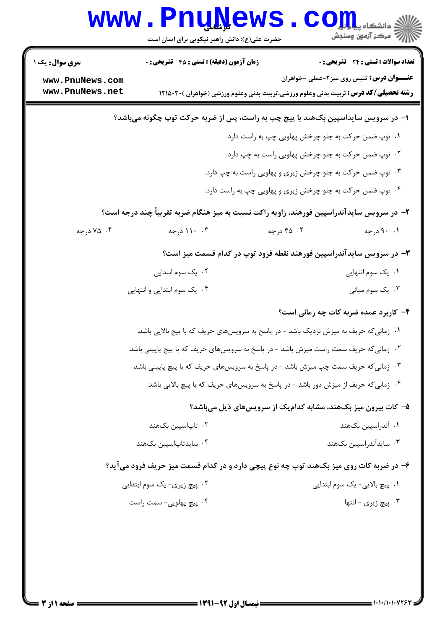|                                                                                           | www.PnuNews<br>حضرت علی(ع): دانش راهبر نیکویی برای ایمان است                                  |                                                                                               | الله دانشگاه پیام برای C<br>الله عرکز آزمهن وسنجش |  |  |  |
|-------------------------------------------------------------------------------------------|-----------------------------------------------------------------------------------------------|-----------------------------------------------------------------------------------------------|---------------------------------------------------|--|--|--|
| <b>سری سوال :</b> یک ۱                                                                    | <b>زمان آزمون (دقیقه) : تستی : 45 تشریحی : 0</b>                                              |                                                                                               | <b>تعداد سوالات : تستی : 24 گشریحی : 0</b>        |  |  |  |
| www.PnuNews.com<br>www.PnuNews.net                                                        |                                                                                               | <b>رشته تحصیلی/کد درس:</b> تربیت بدنی وعلوم ورزشی،تربیت بدنی وعلوم ورزشی (خواهران )311500 ۱۲۱ | <b>عنـــوان درس:</b> تنیس روی میز۲-عملی -خواهران  |  |  |  |
| ا– در سرویس سایداسپین بکھند با پیچ چپ به راست، پس از ضربه حرکت توپ چگونه میباشد؟          |                                                                                               |                                                                                               |                                                   |  |  |  |
|                                                                                           | ۰۱ توپ ضمن حرکت به جلو چرخش پهلویی چپ به راست دارد.                                           |                                                                                               |                                                   |  |  |  |
|                                                                                           | ۰۲ توپ ضمن حرکت به جلو چرخش پهلویی راست به چپ دارد.                                           |                                                                                               |                                                   |  |  |  |
| ۰۳ توپ ضمن حرکت به جلو چرخش زیری و پهلویی راست به چپ دارد.                                |                                                                                               |                                                                                               |                                                   |  |  |  |
| ۰۴ توپ ضمن حرکت به جلو چرخش زیری و پهلویی چپ به راست دارد.                                |                                                                                               |                                                                                               |                                                   |  |  |  |
| ۲– در سرویس سایدآندراسپین فورهند، زاویه راکت نسبت به میز هنگام ضربه تقریباً چند درجه است؟ |                                                                                               |                                                                                               |                                                   |  |  |  |
| ۰۴ درجه                                                                                   | ۰۳ ۱۱۰ درجه                                                                                   | ۰۲ درجه                                                                                       | ۰۱ ۹۰ درجه                                        |  |  |  |
|                                                                                           |                                                                                               | ۳- در سرویس سایدآندراسپین فورهند نقطه فرود توپ در کدام قسمت میز است؟                          |                                                   |  |  |  |
|                                                                                           | ۰۲ یک سوم ابتدایی<br>۰۱ یک سوم انتهایی                                                        |                                                                                               |                                                   |  |  |  |
| ۰۴ یک سوم ابتدایی و انتهایی                                                               |                                                                                               |                                                                                               | ۰۳ يک سوم مياني                                   |  |  |  |
|                                                                                           |                                                                                               |                                                                                               | ۴- کاربرد عمده ضربه کات چه زمانی است؟             |  |  |  |
|                                                                                           | ۰۱ زمانی <i>ک</i> ه حریف به میزش نزدیک باشد - در پاسخ به سرویسهای حریف که با پیچ بالایی باشد. |                                                                                               |                                                   |  |  |  |
|                                                                                           | ۰۲ زمانی که حریف سمت راست میزش باشد - در پاسخ به سرویسهای حریف که با پیچ پایینی باشد.         |                                                                                               |                                                   |  |  |  |
| ۰۳ زمانی که حریف سمت چپ میزش باشد - در پاسخ به سرویسهای حریف که با پیچ پایینی باشد.       |                                                                                               |                                                                                               |                                                   |  |  |  |
| ۰۴ زمانی که حریف از میزش دور باشد - در پاسخ به سرویسهای حریف که با پیچ بالایی باشد.       |                                                                                               |                                                                                               |                                                   |  |  |  |
| ۵- کات بیرون میز بکھند، مشابه کدامیک از سرویسهای ذیل میباشد؟                              |                                                                                               |                                                                                               |                                                   |  |  |  |
|                                                                                           | ۰۲ تاپاسپین بکھند                                                                             |                                                                                               | ۰۱ آندراسپین بکهند                                |  |  |  |
|                                                                                           | ۰۴ سایدتاپاسپین بکهند                                                                         |                                                                                               | ۰۳ سایدآندراسپین بکهند                            |  |  |  |
|                                                                                           | ۶- در ضربه کات روی میز بکھند توپ چه نوع پیچی دارد و در کدام قسمت میز حریف فرود میآید؟         |                                                                                               |                                                   |  |  |  |
|                                                                                           | ۰۲ پیچ زیری- یک سوم ابتدایی                                                                   |                                                                                               | ۰۱ پیچ بالایی- یک سوم ابتدایی                     |  |  |  |
|                                                                                           | ۰۴ پیچ پهلویی- سمت راست                                                                       |                                                                                               | ۰۳ پیچ زیری - انتها                               |  |  |  |
|                                                                                           |                                                                                               |                                                                                               |                                                   |  |  |  |
|                                                                                           |                                                                                               |                                                                                               |                                                   |  |  |  |
|                                                                                           |                                                                                               |                                                                                               |                                                   |  |  |  |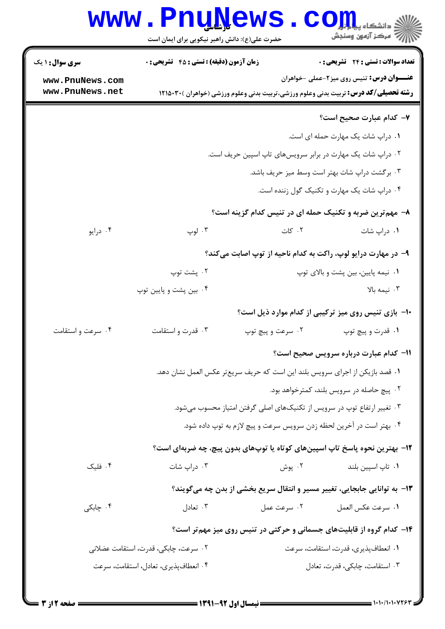|                                                                                                                       |                                                                 | کے دانشکاہ پیا ہوں<br>ان مرکز آزمون وسنجش                                                                                                                                                                                                                                                                                                                                                                                                                                                                                                                                                                                                                                                         |  |  |
|-----------------------------------------------------------------------------------------------------------------------|-----------------------------------------------------------------|---------------------------------------------------------------------------------------------------------------------------------------------------------------------------------------------------------------------------------------------------------------------------------------------------------------------------------------------------------------------------------------------------------------------------------------------------------------------------------------------------------------------------------------------------------------------------------------------------------------------------------------------------------------------------------------------------|--|--|
|                                                                                                                       |                                                                 | تعداد سوالات : تستى : 24 تشريحي : 0                                                                                                                                                                                                                                                                                                                                                                                                                                                                                                                                                                                                                                                               |  |  |
|                                                                                                                       |                                                                 | <b>عنـــوان درس:</b> تنیس روی میز2-عملی -خواهران                                                                                                                                                                                                                                                                                                                                                                                                                                                                                                                                                                                                                                                  |  |  |
|                                                                                                                       |                                                                 | ۷– کدام عبارت صحیح است؟                                                                                                                                                                                                                                                                                                                                                                                                                                                                                                                                                                                                                                                                           |  |  |
|                                                                                                                       |                                                                 | ۰۱ دراپ شات یک مهارت حمله ای است.                                                                                                                                                                                                                                                                                                                                                                                                                                                                                                                                                                                                                                                                 |  |  |
| ۲ . دراپ شات یک مهارت در برابر سرویسهای تاپ اسپین حریف است.<br>۰۳ برگشت دراپ شات بهتر است وسط میز حریف باشد.          |                                                                 |                                                                                                                                                                                                                                                                                                                                                                                                                                                                                                                                                                                                                                                                                                   |  |  |
|                                                                                                                       |                                                                 |                                                                                                                                                                                                                                                                                                                                                                                                                                                                                                                                                                                                                                                                                                   |  |  |
|                                                                                                                       |                                                                 |                                                                                                                                                                                                                                                                                                                                                                                                                                                                                                                                                                                                                                                                                                   |  |  |
| ۰۳ لوپ                                                                                                                | ۰۲ کات                                                          | ۰۱ دراپ شات                                                                                                                                                                                                                                                                                                                                                                                                                                                                                                                                                                                                                                                                                       |  |  |
| ۹- در مهارت درایو لوپ، راکت به کدام ناحیه از توپ اصابت میکند؟                                                         |                                                                 |                                                                                                                                                                                                                                                                                                                                                                                                                                                                                                                                                                                                                                                                                                   |  |  |
| ۰۲ پشت توپ                                                                                                            |                                                                 | ٠١ نيمه پايين، بين پشت و بالاي توپ                                                                                                                                                                                                                                                                                                                                                                                                                                                                                                                                                                                                                                                                |  |  |
| ۰۴ بین پشت و پایین توپ                                                                                                |                                                                 | ۰۳ نیمه بالا                                                                                                                                                                                                                                                                                                                                                                                                                                                                                                                                                                                                                                                                                      |  |  |
|                                                                                                                       |                                                                 | ∙ا− بازی تنیس روی میز ترکیبی از کدام موارد ذیل است؟                                                                                                                                                                                                                                                                                                                                                                                                                                                                                                                                                                                                                                               |  |  |
| ۰۳ قدرت واستقامت                                                                                                      | ۰۲ سرعت و پیچ توپ                                               | ۰۱ قدرت و پيچ توپ                                                                                                                                                                                                                                                                                                                                                                                                                                                                                                                                                                                                                                                                                 |  |  |
|                                                                                                                       |                                                                 | 11- كدام عبارت درباره سرويس صحيح است؟                                                                                                                                                                                                                                                                                                                                                                                                                                                                                                                                                                                                                                                             |  |  |
|                                                                                                                       |                                                                 |                                                                                                                                                                                                                                                                                                                                                                                                                                                                                                                                                                                                                                                                                                   |  |  |
| ۲. پیچ حاصله در سرویس بلند، کمترخواهد بود.<br>۰۳ تغییر ارتفاع توپ در سرویس از تکنیکهای اصلی گرفتن امتیاز محسوب میشود. |                                                                 |                                                                                                                                                                                                                                                                                                                                                                                                                                                                                                                                                                                                                                                                                                   |  |  |
|                                                                                                                       |                                                                 |                                                                                                                                                                                                                                                                                                                                                                                                                                                                                                                                                                                                                                                                                                   |  |  |
|                                                                                                                       |                                                                 |                                                                                                                                                                                                                                                                                                                                                                                                                                                                                                                                                                                                                                                                                                   |  |  |
|                                                                                                                       |                                                                 | ۰۱ تاپ اسپین بلند                                                                                                                                                                                                                                                                                                                                                                                                                                                                                                                                                                                                                                                                                 |  |  |
|                                                                                                                       |                                                                 |                                                                                                                                                                                                                                                                                                                                                                                                                                                                                                                                                                                                                                                                                                   |  |  |
|                                                                                                                       |                                                                 |                                                                                                                                                                                                                                                                                                                                                                                                                                                                                                                                                                                                                                                                                                   |  |  |
|                                                                                                                       |                                                                 | ٠١ سرعت عكس العمل                                                                                                                                                                                                                                                                                                                                                                                                                                                                                                                                                                                                                                                                                 |  |  |
|                                                                                                                       |                                                                 |                                                                                                                                                                                                                                                                                                                                                                                                                                                                                                                                                                                                                                                                                                   |  |  |
| ۰۲ سرعت، چابکی، قدرت، استقامت عضلانی                                                                                  |                                                                 | ٠١ انعطافپذيري، قدرت، استقامت، سرعت                                                                                                                                                                                                                                                                                                                                                                                                                                                                                                                                                                                                                                                               |  |  |
|                                                                                                                       |                                                                 | ۰۳ استقامت، چابکی، قدرت، تعادل                                                                                                                                                                                                                                                                                                                                                                                                                                                                                                                                                                                                                                                                    |  |  |
|                                                                                                                       | ۰۳ دراپ شات<br>۰۳ تعادل<br>۰۴ انعطافپذیری، تعادل، استقامت، سرعت | www.PnuNews<br>حضرت علی(ع): دانش راهبر نیکویی برای ایمان است<br><b>زمان آزمون (دقیقه) : تستی : 45 تشریحی : 0</b><br><b>رشته تحصیلی/کد درس:</b> تربیت بدنی وعلوم ورزشی،تربیت بدنی وعلوم ورزشی (خواهران )311500 ۱۲۱<br>۸– مهم ترین ضربه و تکنیک حمله ای در تنیس کدام گزینه است؟<br>٠١ قصد بازيكن از اجراي سرويس بلند اين است كه حريف سريعتر عكس العمل نشان دهد.<br>۰۴ بهتر است در آخرین لحظه زدن سرویس سرعت و پیچ لازم به توپ داده شود.<br>۱۲– بهترین نحوه پاسخ تاپ اسپینهای کوتاه یا توپهای بدون پیچ، چه ضربهای است؟<br>۰۲ پوش<br>۱۳- به توانایی جابجایی، تغییر مسیر و انتقال سریع بخشی از بدن چه میگویند؟<br>۰۲ سرعت عمل<br>۱۴- کدام گروه از قابلیتهای جسمانی و حرکتی در تنیس روی میز مهم تر است؟ |  |  |